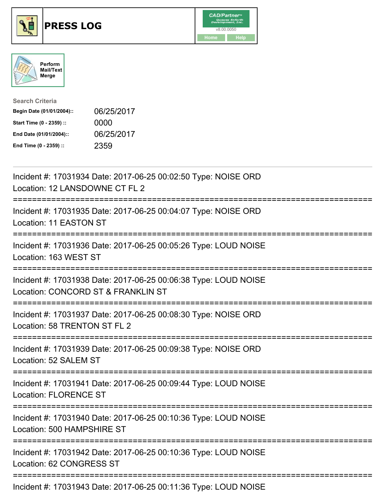





| <b>Search Criteria</b>    |            |
|---------------------------|------------|
| Begin Date (01/01/2004):: | 06/25/2017 |
| Start Time (0 - 2359) ::  | 0000       |
| End Date (01/01/2004)::   | 06/25/2017 |
| End Time (0 - 2359) ::    | 2359       |

| Incident #: 17031934 Date: 2017-06-25 00:02:50 Type: NOISE ORD<br>Location: 12 LANSDOWNE CT FL 2                          |
|---------------------------------------------------------------------------------------------------------------------------|
| Incident #: 17031935 Date: 2017-06-25 00:04:07 Type: NOISE ORD<br>Location: 11 EASTON ST                                  |
| Incident #: 17031936 Date: 2017-06-25 00:05:26 Type: LOUD NOISE<br>Location: 163 WEST ST<br>:====================         |
| Incident #: 17031938 Date: 2017-06-25 00:06:38 Type: LOUD NOISE<br>Location: CONCORD ST & FRANKLIN ST<br>---------------- |
| Incident #: 17031937 Date: 2017-06-25 00:08:30 Type: NOISE ORD<br>Location: 58 TRENTON ST FL 2<br>===============         |
| Incident #: 17031939 Date: 2017-06-25 00:09:38 Type: NOISE ORD<br>Location: 52 SALEM ST                                   |
| Incident #: 17031941 Date: 2017-06-25 00:09:44 Type: LOUD NOISE<br><b>Location: FLORENCE ST</b>                           |
| Incident #: 17031940 Date: 2017-06-25 00:10:36 Type: LOUD NOISE<br>Location: 500 HAMPSHIRE ST                             |
| Incident #: 17031942 Date: 2017-06-25 00:10:36 Type: LOUD NOISE<br>Location: 62 CONGRESS ST                               |
| Incident #: 17031943 Date: 2017-06-25 00:11:36 Type: LOUD NOISE                                                           |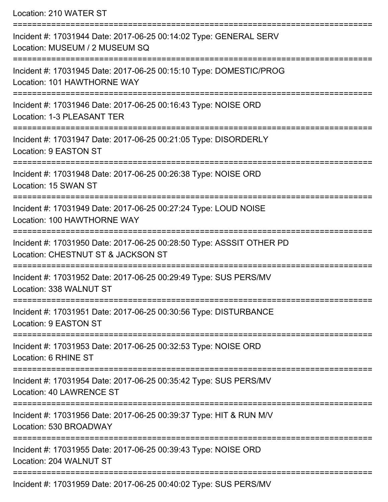Location: 210 WATER ST

=========================================================================== Incident #: 17031944 Date: 2017-06-25 00:14:02 Type: GENERAL SERV Location: MUSEUM / 2 MUSEUM SQ =========================================================================== Incident #: 17031945 Date: 2017-06-25 00:15:10 Type: DOMESTIC/PROG Location: 101 HAWTHORNE WAY =========================================================================== Incident #: 17031946 Date: 2017-06-25 00:16:43 Type: NOISE ORD Location: 1-3 PLEASANT TER =========================================================================== Incident #: 17031947 Date: 2017-06-25 00:21:05 Type: DISORDERLY Location: 9 EASTON ST =========================================================================== Incident #: 17031948 Date: 2017-06-25 00:26:38 Type: NOISE ORD Location: 15 SWAN ST =========================================================================== Incident #: 17031949 Date: 2017-06-25 00:27:24 Type: LOUD NOISE Location: 100 HAWTHORNE WAY =========================================================================== Incident #: 17031950 Date: 2017-06-25 00:28:50 Type: ASSSIT OTHER PD Location: CHESTNUT ST & JACKSON ST =========================================================================== Incident #: 17031952 Date: 2017-06-25 00:29:49 Type: SUS PERS/MV Location: 338 WALNUT ST =========================================================================== Incident #: 17031951 Date: 2017-06-25 00:30:56 Type: DISTURBANCE Location: 9 EASTON ST =========================================================================== Incident #: 17031953 Date: 2017-06-25 00:32:53 Type: NOISE ORD Location: 6 RHINE ST =========================================================================== Incident #: 17031954 Date: 2017-06-25 00:35:42 Type: SUS PERS/MV Location: 40 LAWRENCE ST =========================================================================== Incident #: 17031956 Date: 2017-06-25 00:39:37 Type: HIT & RUN M/V Location: 530 BROADWAY =========================================================================== Incident #: 17031955 Date: 2017-06-25 00:39:43 Type: NOISE ORD Location: 204 WALNUT ST =========================================================================== Incident #: 17031959 Date: 2017-06-25 00:40:02 Type: SUS PERS/MV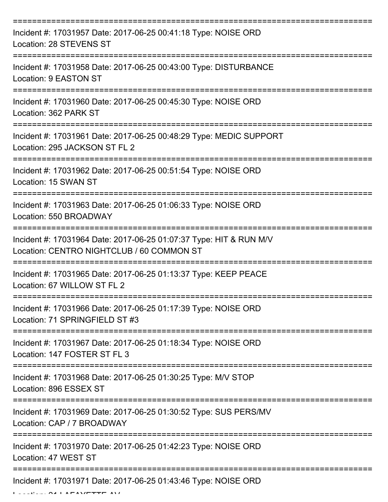| Incident #: 17031957 Date: 2017-06-25 00:41:18 Type: NOISE ORD<br>Location: 28 STEVENS ST                       |
|-----------------------------------------------------------------------------------------------------------------|
| Incident #: 17031958 Date: 2017-06-25 00:43:00 Type: DISTURBANCE<br>Location: 9 EASTON ST                       |
| Incident #: 17031960 Date: 2017-06-25 00:45:30 Type: NOISE ORD<br>Location: 362 PARK ST                         |
| Incident #: 17031961 Date: 2017-06-25 00:48:29 Type: MEDIC SUPPORT<br>Location: 295 JACKSON ST FL 2             |
| Incident #: 17031962 Date: 2017-06-25 00:51:54 Type: NOISE ORD<br>Location: 15 SWAN ST                          |
| Incident #: 17031963 Date: 2017-06-25 01:06:33 Type: NOISE ORD<br>Location: 550 BROADWAY                        |
| Incident #: 17031964 Date: 2017-06-25 01:07:37 Type: HIT & RUN M/V<br>Location: CENTRO NIGHTCLUB / 60 COMMON ST |
| Incident #: 17031965 Date: 2017-06-25 01:13:37 Type: KEEP PEACE<br>Location: 67 WILLOW ST FL 2                  |
| Incident #: 17031966 Date: 2017-06-25 01:17:39 Type: NOISE ORD<br>Location: 71 SPRINGFIELD ST #3                |
| Incident #: 17031967 Date: 2017-06-25 01:18:34 Type: NOISE ORD<br>Location: 147 FOSTER ST FL 3                  |
| Incident #: 17031968 Date: 2017-06-25 01:30:25 Type: M/V STOP<br>Location: 896 ESSEX ST                         |
| Incident #: 17031969 Date: 2017-06-25 01:30:52 Type: SUS PERS/MV<br>Location: CAP / 7 BROADWAY                  |
| Incident #: 17031970 Date: 2017-06-25 01:42:23 Type: NOISE ORD<br>Location: 47 WEST ST                          |
| Incident #: 17031971 Date: 2017-06-25 01:43:46 Type: NOISE ORD                                                  |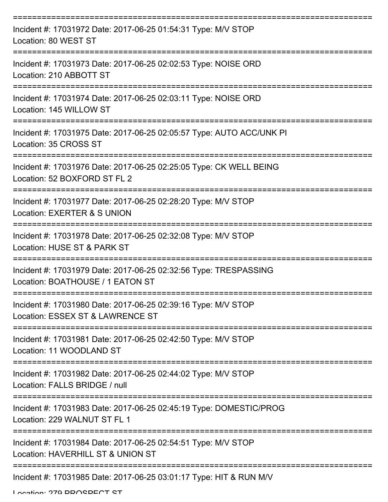| Incident #: 17031972 Date: 2017-06-25 01:54:31 Type: M/V STOP<br>Location: 80 WEST ST                |
|------------------------------------------------------------------------------------------------------|
| Incident #: 17031973 Date: 2017-06-25 02:02:53 Type: NOISE ORD<br>Location: 210 ABBOTT ST            |
| Incident #: 17031974 Date: 2017-06-25 02:03:11 Type: NOISE ORD<br>Location: 145 WILLOW ST            |
| Incident #: 17031975 Date: 2017-06-25 02:05:57 Type: AUTO ACC/UNK PI<br>Location: 35 CROSS ST        |
| Incident #: 17031976 Date: 2017-06-25 02:25:05 Type: CK WELL BEING<br>Location: 52 BOXFORD ST FL 2   |
| Incident #: 17031977 Date: 2017-06-25 02:28:20 Type: M/V STOP<br>Location: EXERTER & S UNION         |
| Incident #: 17031978 Date: 2017-06-25 02:32:08 Type: M/V STOP<br>Location: HUSE ST & PARK ST         |
| Incident #: 17031979 Date: 2017-06-25 02:32:56 Type: TRESPASSING<br>Location: BOATHOUSE / 1 EATON ST |
| Incident #: 17031980 Date: 2017-06-25 02:39:16 Type: M/V STOP<br>Location: ESSEX ST & LAWRENCE ST    |
| Incident #: 17031981 Date: 2017-06-25 02:42:50 Type: M/V STOP<br>Location: 11 WOODLAND ST            |
| Incident #: 17031982 Date: 2017-06-25 02:44:02 Type: M/V STOP<br>Location: FALLS BRIDGE / null       |
| Incident #: 17031983 Date: 2017-06-25 02:45:19 Type: DOMESTIC/PROG<br>Location: 229 WALNUT ST FL 1   |
| Incident #: 17031984 Date: 2017-06-25 02:54:51 Type: M/V STOP<br>Location: HAVERHILL ST & UNION ST   |
| Incident #: 17031985 Date: 2017-06-25 03:01:17 Type: HIT & RUN M/V                                   |

Location: 270 DDACDECT CT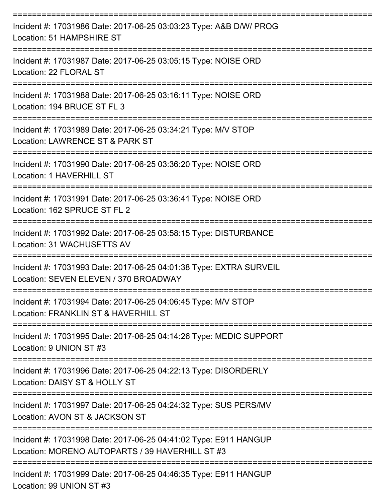| Incident #: 17031986 Date: 2017-06-25 03:03:23 Type: A&B D/W/ PROG<br>Location: 51 HAMPSHIRE ST                     |
|---------------------------------------------------------------------------------------------------------------------|
| Incident #: 17031987 Date: 2017-06-25 03:05:15 Type: NOISE ORD<br>Location: 22 FLORAL ST                            |
| Incident #: 17031988 Date: 2017-06-25 03:16:11 Type: NOISE ORD<br>Location: 194 BRUCE ST FL 3<br>-------------      |
| Incident #: 17031989 Date: 2017-06-25 03:34:21 Type: M/V STOP<br>Location: LAWRENCE ST & PARK ST                    |
| Incident #: 17031990 Date: 2017-06-25 03:36:20 Type: NOISE ORD<br>Location: 1 HAVERHILL ST                          |
| Incident #: 17031991 Date: 2017-06-25 03:36:41 Type: NOISE ORD<br>Location: 162 SPRUCE ST FL 2                      |
| Incident #: 17031992 Date: 2017-06-25 03:58:15 Type: DISTURBANCE<br>Location: 31 WACHUSETTS AV                      |
| Incident #: 17031993 Date: 2017-06-25 04:01:38 Type: EXTRA SURVEIL<br>Location: SEVEN ELEVEN / 370 BROADWAY         |
| Incident #: 17031994 Date: 2017-06-25 04:06:45 Type: M/V STOP<br>Location: FRANKLIN ST & HAVERHILL ST               |
| Incident #: 17031995 Date: 2017-06-25 04:14:26 Type: MEDIC SUPPORT<br>Location: 9 UNION ST #3                       |
| Incident #: 17031996 Date: 2017-06-25 04:22:13 Type: DISORDERLY<br>Location: DAISY ST & HOLLY ST                    |
| Incident #: 17031997 Date: 2017-06-25 04:24:32 Type: SUS PERS/MV<br>Location: AVON ST & JACKSON ST                  |
| Incident #: 17031998 Date: 2017-06-25 04:41:02 Type: E911 HANGUP<br>Location: MORENO AUTOPARTS / 39 HAVERHILL ST #3 |
| Incident #: 17031999 Date: 2017-06-25 04:46:35 Type: E911 HANGUP<br>Location: 99 UNION ST #3                        |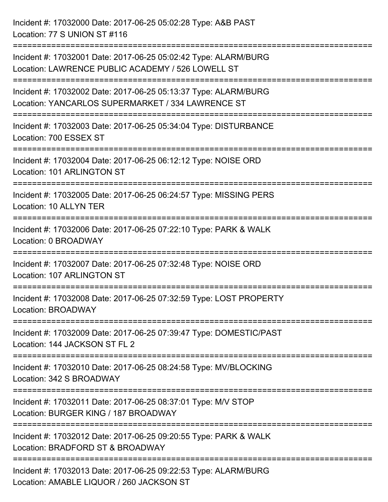Incident #: 17032000 Date: 2017-06-25 05:02:28 Type: A&B PAST Location: 77 S UNION ST #116 =========================================================================== Incident #: 17032001 Date: 2017-06-25 05:02:42 Type: ALARM/BURG Location: LAWRENCE PUBLIC ACADEMY / 526 LOWELL ST =========================================================================== Incident #: 17032002 Date: 2017-06-25 05:13:37 Type: ALARM/BURG Location: YANCARLOS SUPERMARKET / 334 LAWRENCE ST =========================================================================== Incident #: 17032003 Date: 2017-06-25 05:34:04 Type: DISTURBANCE Location: 700 ESSEX ST =========================================================================== Incident #: 17032004 Date: 2017-06-25 06:12:12 Type: NOISE ORD Location: 101 ARLINGTON ST =========================================================================== Incident #: 17032005 Date: 2017-06-25 06:24:57 Type: MISSING PERS Location: 10 ALLYN TER =========================================================================== Incident #: 17032006 Date: 2017-06-25 07:22:10 Type: PARK & WALK Location: 0 BROADWAY =========================================================================== Incident #: 17032007 Date: 2017-06-25 07:32:48 Type: NOISE ORD Location: 107 ARLINGTON ST =========================================================================== Incident #: 17032008 Date: 2017-06-25 07:32:59 Type: LOST PROPERTY Location: BROADWAY =========================================================================== Incident #: 17032009 Date: 2017-06-25 07:39:47 Type: DOMESTIC/PAST Location: 144 JACKSON ST FL 2 =========================================================================== Incident #: 17032010 Date: 2017-06-25 08:24:58 Type: MV/BLOCKING Location: 342 S BROADWAY =========================================================================== Incident #: 17032011 Date: 2017-06-25 08:37:01 Type: M/V STOP Location: BURGER KING / 187 BROADWAY =========================================================================== Incident #: 17032012 Date: 2017-06-25 09:20:55 Type: PARK & WALK Location: BRADFORD ST & BROADWAY =========================================================================== Incident #: 17032013 Date: 2017-06-25 09:22:53 Type: ALARM/BURG Location: AMABLE LIQUOR / 260 JACKSON ST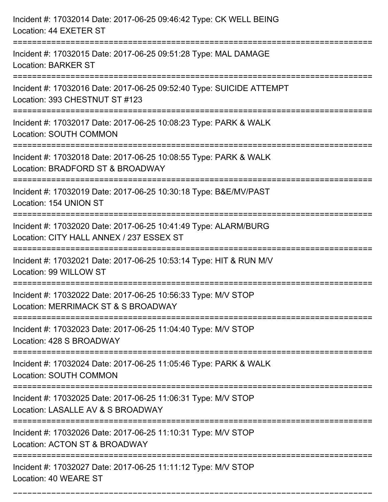| Incident #: 17032014 Date: 2017-06-25 09:46:42 Type: CK WELL BEING<br>Location: 44 EXETER ST                                                        |
|-----------------------------------------------------------------------------------------------------------------------------------------------------|
| Incident #: 17032015 Date: 2017-06-25 09:51:28 Type: MAL DAMAGE<br><b>Location: BARKER ST</b>                                                       |
| Incident #: 17032016 Date: 2017-06-25 09:52:40 Type: SUICIDE ATTEMPT<br>Location: 393 CHESTNUT ST #123<br>:=======================                  |
| Incident #: 17032017 Date: 2017-06-25 10:08:23 Type: PARK & WALK<br><b>Location: SOUTH COMMON</b>                                                   |
| Incident #: 17032018 Date: 2017-06-25 10:08:55 Type: PARK & WALK<br>Location: BRADFORD ST & BROADWAY                                                |
| Incident #: 17032019 Date: 2017-06-25 10:30:18 Type: B&E/MV/PAST<br>Location: 154 UNION ST                                                          |
| Incident #: 17032020 Date: 2017-06-25 10:41:49 Type: ALARM/BURG<br>Location: CITY HALL ANNEX / 237 ESSEX ST<br>:===============<br>================ |
| Incident #: 17032021 Date: 2017-06-25 10:53:14 Type: HIT & RUN M/V<br>Location: 99 WILLOW ST                                                        |
| Incident #: 17032022 Date: 2017-06-25 10:56:33 Type: M/V STOP<br>Location: MERRIMACK ST & S BROADWAY                                                |
| Incident #: 17032023 Date: 2017-06-25 11:04:40 Type: M/V STOP<br>Location: 428 S BROADWAY                                                           |
| =================================<br>Incident #: 17032024 Date: 2017-06-25 11:05:46 Type: PARK & WALK<br><b>Location: SOUTH COMMON</b>              |
| Incident #: 17032025 Date: 2017-06-25 11:06:31 Type: M/V STOP<br>Location: LASALLE AV & S BROADWAY                                                  |
| Incident #: 17032026 Date: 2017-06-25 11:10:31 Type: M/V STOP<br>Location: ACTON ST & BROADWAY                                                      |
| Incident #: 17032027 Date: 2017-06-25 11:11:12 Type: M/V STOP<br>Location: 40 WEARE ST                                                              |

===========================================================================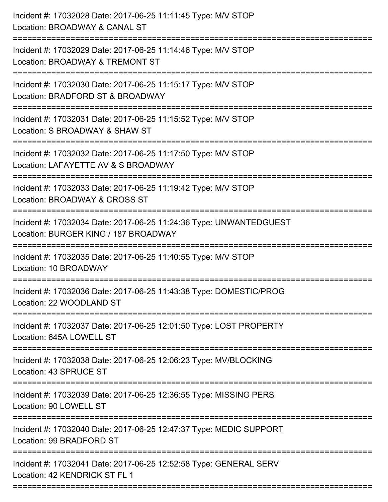| Incident #: 17032028 Date: 2017-06-25 11:11:45 Type: M/V STOP<br>Location: BROADWAY & CANAL ST<br>============================         |
|----------------------------------------------------------------------------------------------------------------------------------------|
| Incident #: 17032029 Date: 2017-06-25 11:14:46 Type: M/V STOP<br>Location: BROADWAY & TREMONT ST                                       |
| Incident #: 17032030 Date: 2017-06-25 11:15:17 Type: M/V STOP<br>Location: BRADFORD ST & BROADWAY<br>=============================     |
| Incident #: 17032031 Date: 2017-06-25 11:15:52 Type: M/V STOP<br>Location: S BROADWAY & SHAW ST<br>----------------------------------- |
| Incident #: 17032032 Date: 2017-06-25 11:17:50 Type: M/V STOP<br>Location: LAFAYETTE AV & S BROADWAY                                   |
| Incident #: 17032033 Date: 2017-06-25 11:19:42 Type: M/V STOP<br>Location: BROADWAY & CROSS ST                                         |
| Incident #: 17032034 Date: 2017-06-25 11:24:36 Type: UNWANTEDGUEST<br>Location: BURGER KING / 187 BROADWAY                             |
| Incident #: 17032035 Date: 2017-06-25 11:40:55 Type: M/V STOP<br>Location: 10 BROADWAY                                                 |
| Incident #: 17032036 Date: 2017-06-25 11:43:38 Type: DOMESTIC/PROG<br>Location: 22 WOODLAND ST                                         |
| Incident #: 17032037 Date: 2017-06-25 12:01:50 Type: LOST PROPERTY<br>Location: 645A LOWELL ST                                         |
| Incident #: 17032038 Date: 2017-06-25 12:06:23 Type: MV/BLOCKING<br>Location: 43 SPRUCE ST                                             |
| Incident #: 17032039 Date: 2017-06-25 12:36:55 Type: MISSING PERS<br>Location: 90 LOWELL ST                                            |
| Incident #: 17032040 Date: 2017-06-25 12:47:37 Type: MEDIC SUPPORT<br>Location: 99 BRADFORD ST                                         |
| Incident #: 17032041 Date: 2017-06-25 12:52:58 Type: GENERAL SERV<br>Location: 42 KENDRICK ST FL 1                                     |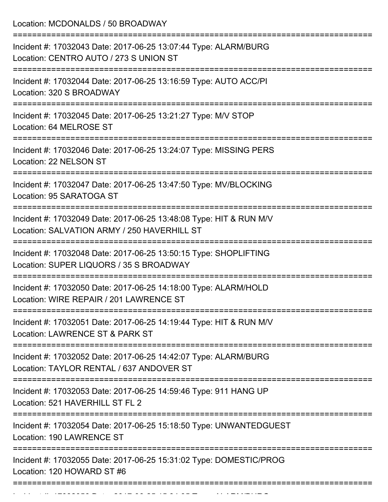Location: MCDONALDS / 50 BROADWAY =========================================================================== Incident #: 17032043 Date: 2017-06-25 13:07:44 Type: ALARM/BURG Location: CENTRO AUTO / 273 S UNION ST =========================================================================== Incident #: 17032044 Date: 2017-06-25 13:16:59 Type: AUTO ACC/PI Location: 320 S BROADWAY =========================================================================== Incident #: 17032045 Date: 2017-06-25 13:21:27 Type: M/V STOP Location: 64 MELROSE ST =========================================================================== Incident #: 17032046 Date: 2017-06-25 13:24:07 Type: MISSING PERS Location: 22 NELSON ST =========================================================================== Incident #: 17032047 Date: 2017-06-25 13:47:50 Type: MV/BLOCKING Location: 95 SARATOGA ST =========================================================================== Incident #: 17032049 Date: 2017-06-25 13:48:08 Type: HIT & RUN M/V Location: SALVATION ARMY / 250 HAVERHILL ST =========================================================================== Incident #: 17032048 Date: 2017-06-25 13:50:15 Type: SHOPLIFTING Location: SUPER LIQUORS / 35 S BROADWAY =========================================================================== Incident #: 17032050 Date: 2017-06-25 14:18:00 Type: ALARM/HOLD Location: WIRE REPAIR / 201 LAWRENCE ST =========================================================================== Incident #: 17032051 Date: 2017-06-25 14:19:44 Type: HIT & RUN M/V Location: LAWRENCE ST & PARK ST =========================================================================== Incident #: 17032052 Date: 2017-06-25 14:42:07 Type: ALARM/BURG Location: TAYLOR RENTAL / 637 ANDOVER ST =========================================================================== Incident #: 17032053 Date: 2017-06-25 14:59:46 Type: 911 HANG UP Location: 521 HAVERHILL ST FL 2 =========================================================================== Incident #: 17032054 Date: 2017-06-25 15:18:50 Type: UNWANTEDGUEST Location: 190 LAWRENCE ST =========================================================================== Incident #: 17032055 Date: 2017-06-25 15:31:02 Type: DOMESTIC/PROG Location: 120 HOWARD ST #6 ===========================================================================

Incident #: 17032056 Date: 2017 06 25 15:34:35 Type: 2017 06 25 15:34:35 Type: 2017 07:34:35 Type: 2017 07:34<br>|-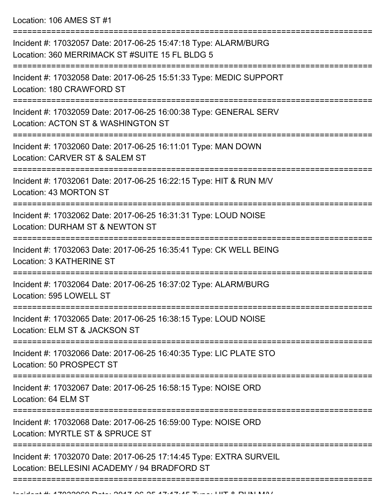Location: 106 AMES ST #1

| Incident #: 17032057 Date: 2017-06-25 15:47:18 Type: ALARM/BURG<br>Location: 360 MERRIMACK ST #SUITE 15 FL BLDG 5              |
|--------------------------------------------------------------------------------------------------------------------------------|
| Incident #: 17032058 Date: 2017-06-25 15:51:33 Type: MEDIC SUPPORT<br>Location: 180 CRAWFORD ST                                |
| Incident #: 17032059 Date: 2017-06-25 16:00:38 Type: GENERAL SERV<br>Location: ACTON ST & WASHINGTON ST                        |
| Incident #: 17032060 Date: 2017-06-25 16:11:01 Type: MAN DOWN<br>Location: CARVER ST & SALEM ST                                |
| Incident #: 17032061 Date: 2017-06-25 16:22:15 Type: HIT & RUN M/V<br>Location: 43 MORTON ST                                   |
| Incident #: 17032062 Date: 2017-06-25 16:31:31 Type: LOUD NOISE<br>Location: DURHAM ST & NEWTON ST                             |
| Incident #: 17032063 Date: 2017-06-25 16:35:41 Type: CK WELL BEING<br><b>Location: 3 KATHERINE ST</b>                          |
| Incident #: 17032064 Date: 2017-06-25 16:37:02 Type: ALARM/BURG<br>Location: 595 LOWELL ST                                     |
| Incident #: 17032065 Date: 2017-06-25 16:38:15 Type: LOUD NOISE<br>Location: ELM ST & JACKSON ST                               |
| Incident #: 17032066 Date: 2017-06-25 16:40:35 Type: LIC PLATE STO<br>Location: 50 PROSPECT ST                                 |
| Incident #: 17032067 Date: 2017-06-25 16:58:15 Type: NOISE ORD<br>Location: 64 ELM ST                                          |
| =========================<br>Incident #: 17032068 Date: 2017-06-25 16:59:00 Type: NOISE ORD<br>Location: MYRTLE ST & SPRUCE ST |
| Incident #: 17032070 Date: 2017-06-25 17:14:45 Type: EXTRA SURVEIL<br>Location: BELLESINI ACADEMY / 94 BRADFORD ST             |
|                                                                                                                                |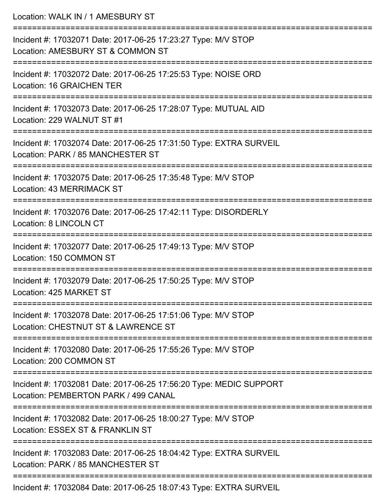| Location: WALK IN / 1 AMESBURY ST                                                                                                               |
|-------------------------------------------------------------------------------------------------------------------------------------------------|
| Incident #: 17032071 Date: 2017-06-25 17:23:27 Type: M/V STOP<br>Location: AMESBURY ST & COMMON ST                                              |
| Incident #: 17032072 Date: 2017-06-25 17:25:53 Type: NOISE ORD<br>Location: 16 GRAICHEN TER                                                     |
| Incident #: 17032073 Date: 2017-06-25 17:28:07 Type: MUTUAL AID<br>Location: 229 WALNUT ST #1                                                   |
| Incident #: 17032074 Date: 2017-06-25 17:31:50 Type: EXTRA SURVEIL<br>Location: PARK / 85 MANCHESTER ST                                         |
| Incident #: 17032075 Date: 2017-06-25 17:35:48 Type: M/V STOP<br>Location: 43 MERRIMACK ST                                                      |
| Incident #: 17032076 Date: 2017-06-25 17:42:11 Type: DISORDERLY<br>Location: 8 LINCOLN CT                                                       |
| Incident #: 17032077 Date: 2017-06-25 17:49:13 Type: M/V STOP<br>Location: 150 COMMON ST                                                        |
| =========================<br>Incident #: 17032079 Date: 2017-06-25 17:50:25 Type: M/V STOP<br>Location: 425 MARKET ST<br>---------------------- |
| Incident #: 17032078 Date: 2017-06-25 17:51:06 Type: M/V STOP<br>Location: CHESTNUT ST & LAWRENCE ST                                            |
| Incident #: 17032080 Date: 2017-06-25 17:55:26 Type: M/V STOP<br>Location: 200 COMMON ST                                                        |
| ==============================<br>Incident #: 17032081 Date: 2017-06-25 17:56:20 Type: MEDIC SUPPORT<br>Location: PEMBERTON PARK / 499 CANAL    |
| Incident #: 17032082 Date: 2017-06-25 18:00:27 Type: M/V STOP<br>Location: ESSEX ST & FRANKLIN ST                                               |
| Incident #: 17032083 Date: 2017-06-25 18:04:42 Type: EXTRA SURVEIL<br>Location: PARK / 85 MANCHESTER ST                                         |
| Incident #: 17032084 Date: 2017-06-25 18:07:43 Type: EXTRA SURVEIL                                                                              |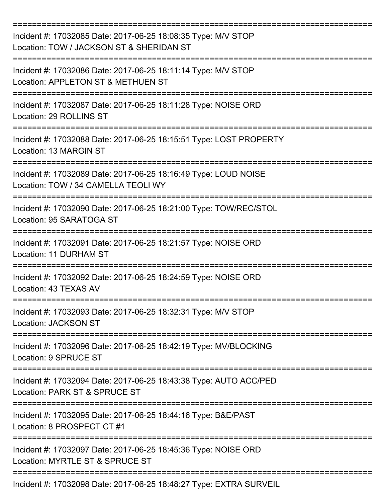| Incident #: 17032085 Date: 2017-06-25 18:08:35 Type: M/V STOP<br>Location: TOW / JACKSON ST & SHERIDAN ST |
|-----------------------------------------------------------------------------------------------------------|
| Incident #: 17032086 Date: 2017-06-25 18:11:14 Type: M/V STOP<br>Location: APPLETON ST & METHUEN ST       |
| Incident #: 17032087 Date: 2017-06-25 18:11:28 Type: NOISE ORD<br>Location: 29 ROLLINS ST                 |
| Incident #: 17032088 Date: 2017-06-25 18:15:51 Type: LOST PROPERTY<br>Location: 13 MARGIN ST              |
| Incident #: 17032089 Date: 2017-06-25 18:16:49 Type: LOUD NOISE<br>Location: TOW / 34 CAMELLA TEOLI WY    |
| Incident #: 17032090 Date: 2017-06-25 18:21:00 Type: TOW/REC/STOL<br>Location: 95 SARATOGA ST             |
| Incident #: 17032091 Date: 2017-06-25 18:21:57 Type: NOISE ORD<br>Location: 11 DURHAM ST                  |
| Incident #: 17032092 Date: 2017-06-25 18:24:59 Type: NOISE ORD<br>Location: 43 TEXAS AV                   |
| Incident #: 17032093 Date: 2017-06-25 18:32:31 Type: M/V STOP<br>Location: JACKSON ST                     |
| Incident #: 17032096 Date: 2017-06-25 18:42:19 Type: MV/BLOCKING<br>Location: 9 SPRUCE ST                 |
| Incident #: 17032094 Date: 2017-06-25 18:43:38 Type: AUTO ACC/PED<br>Location: PARK ST & SPRUCE ST        |
| Incident #: 17032095 Date: 2017-06-25 18:44:16 Type: B&E/PAST<br>Location: 8 PROSPECT CT #1               |
| Incident #: 17032097 Date: 2017-06-25 18:45:36 Type: NOISE ORD<br>Location: MYRTLE ST & SPRUCE ST         |
| Incident #: 17032098 Date: 2017-06-25 18:48:27 Type: EXTRA SURVEIL                                        |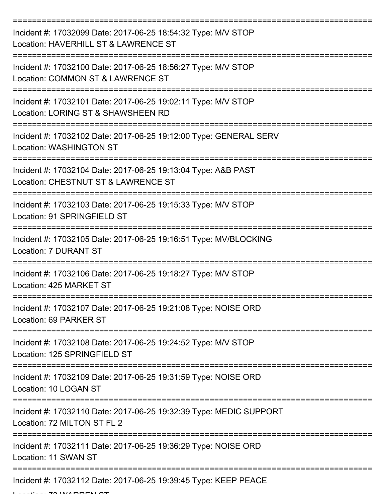| Incident #: 17032099 Date: 2017-06-25 18:54:32 Type: M/V STOP<br>Location: HAVERHILL ST & LAWRENCE ST |
|-------------------------------------------------------------------------------------------------------|
| Incident #: 17032100 Date: 2017-06-25 18:56:27 Type: M/V STOP<br>Location: COMMON ST & LAWRENCE ST    |
| Incident #: 17032101 Date: 2017-06-25 19:02:11 Type: M/V STOP<br>Location: LORING ST & SHAWSHEEN RD   |
| Incident #: 17032102 Date: 2017-06-25 19:12:00 Type: GENERAL SERV<br><b>Location: WASHINGTON ST</b>   |
| Incident #: 17032104 Date: 2017-06-25 19:13:04 Type: A&B PAST<br>Location: CHESTNUT ST & LAWRENCE ST  |
| Incident #: 17032103 Date: 2017-06-25 19:15:33 Type: M/V STOP<br>Location: 91 SPRINGFIELD ST          |
| Incident #: 17032105 Date: 2017-06-25 19:16:51 Type: MV/BLOCKING<br><b>Location: 7 DURANT ST</b>      |
| Incident #: 17032106 Date: 2017-06-25 19:18:27 Type: M/V STOP<br>Location: 425 MARKET ST              |
| Incident #: 17032107 Date: 2017-06-25 19:21:08 Type: NOISE ORD<br>Location: 69 PARKER ST              |
| Incident #: 17032108 Date: 2017-06-25 19:24:52 Type: M/V STOP<br>Location: 125 SPRINGFIELD ST         |
| Incident #: 17032109 Date: 2017-06-25 19:31:59 Type: NOISE ORD<br>Location: 10 LOGAN ST               |
| Incident #: 17032110 Date: 2017-06-25 19:32:39 Type: MEDIC SUPPORT<br>Location: 72 MILTON ST FL 2     |
| Incident #: 17032111 Date: 2017-06-25 19:36:29 Type: NOISE ORD<br>Location: 11 SWAN ST                |
| Incident #: 17032112 Date: 2017-06-25 19:39:45 Type: KEEP PEACE                                       |

 $L$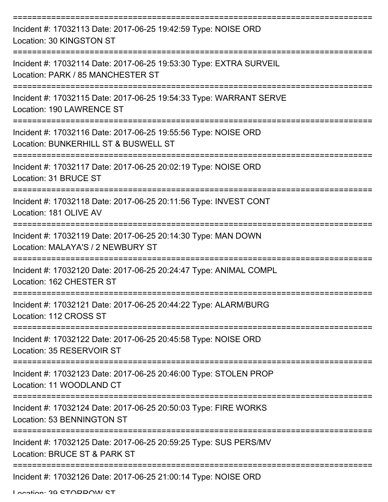| Incident #: 17032113 Date: 2017-06-25 19:42:59 Type: NOISE ORD<br>Location: 30 KINGSTON ST                     |
|----------------------------------------------------------------------------------------------------------------|
| Incident #: 17032114 Date: 2017-06-25 19:53:30 Type: EXTRA SURVEIL<br>Location: PARK / 85 MANCHESTER ST        |
| Incident #: 17032115 Date: 2017-06-25 19:54:33 Type: WARRANT SERVE<br>Location: 190 LAWRENCE ST                |
| Incident #: 17032116 Date: 2017-06-25 19:55:56 Type: NOISE ORD<br>Location: BUNKERHILL ST & BUSWELL ST         |
| Incident #: 17032117 Date: 2017-06-25 20:02:19 Type: NOISE ORD<br>Location: 31 BRUCE ST                        |
| Incident #: 17032118 Date: 2017-06-25 20:11:56 Type: INVEST CONT<br>Location: 181 OLIVE AV<br>---------------- |
| Incident #: 17032119 Date: 2017-06-25 20:14:30 Type: MAN DOWN<br>Location: MALAYA'S / 2 NEWBURY ST             |
| Incident #: 17032120 Date: 2017-06-25 20:24:47 Type: ANIMAL COMPL<br>Location: 162 CHESTER ST                  |
| Incident #: 17032121 Date: 2017-06-25 20:44:22 Type: ALARM/BURG<br>Location: 112 CROSS ST                      |
| Incident #: 17032122 Date: 2017-06-25 20:45:58 Type: NOISE ORD<br>Location: 35 RESERVOIR ST                    |
| Incident #: 17032123 Date: 2017-06-25 20:46:00 Type: STOLEN PROP<br>Location: 11 WOODLAND CT                   |
| Incident #: 17032124 Date: 2017-06-25 20:50:03 Type: FIRE WORKS<br>Location: 53 BENNINGTON ST                  |
| Incident #: 17032125 Date: 2017-06-25 20:59:25 Type: SUS PERS/MV<br>Location: BRUCE ST & PARK ST               |
| Incident #: 17032126 Date: 2017-06-25 21:00:14 Type: NOISE ORD                                                 |

Location: 30 STODDOM ST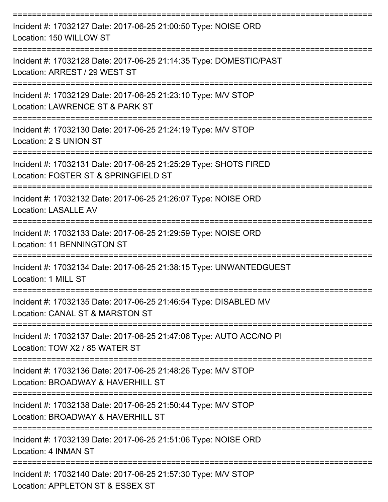| Incident #: 17032127 Date: 2017-06-25 21:00:50 Type: NOISE ORD<br>Location: 150 WILLOW ST                                        |
|----------------------------------------------------------------------------------------------------------------------------------|
| Incident #: 17032128 Date: 2017-06-25 21:14:35 Type: DOMESTIC/PAST<br>Location: ARREST / 29 WEST ST                              |
| Incident #: 17032129 Date: 2017-06-25 21:23:10 Type: M/V STOP<br>Location: LAWRENCE ST & PARK ST                                 |
| Incident #: 17032130 Date: 2017-06-25 21:24:19 Type: M/V STOP<br>Location: 2 S UNION ST<br>===================================== |
| Incident #: 17032131 Date: 2017-06-25 21:25:29 Type: SHOTS FIRED<br>Location: FOSTER ST & SPRINGFIELD ST                         |
| Incident #: 17032132 Date: 2017-06-25 21:26:07 Type: NOISE ORD<br><b>Location: LASALLE AV</b>                                    |
| ======================<br>Incident #: 17032133 Date: 2017-06-25 21:29:59 Type: NOISE ORD<br><b>Location: 11 BENNINGTON ST</b>    |
| Incident #: 17032134 Date: 2017-06-25 21:38:15 Type: UNWANTEDGUEST<br>Location: 1 MILL ST                                        |
| Incident #: 17032135 Date: 2017-06-25 21:46:54 Type: DISABLED MV<br>Location: CANAL ST & MARSTON ST                              |
| Incident #: 17032137 Date: 2017-06-25 21:47:06 Type: AUTO ACC/NO PI<br>Location: TOW X2 / 85 WATER ST                            |
| Incident #: 17032136 Date: 2017-06-25 21:48:26 Type: M/V STOP<br>Location: BROADWAY & HAVERHILL ST                               |
| Incident #: 17032138 Date: 2017-06-25 21:50:44 Type: M/V STOP<br>Location: BROADWAY & HAVERHILL ST                               |
| Incident #: 17032139 Date: 2017-06-25 21:51:06 Type: NOISE ORD<br>Location: 4 INMAN ST                                           |
| Incident #: 17032140 Date: 2017-06-25 21:57:30 Type: M/V STOP<br>Location: APPLETON ST & ESSEX ST                                |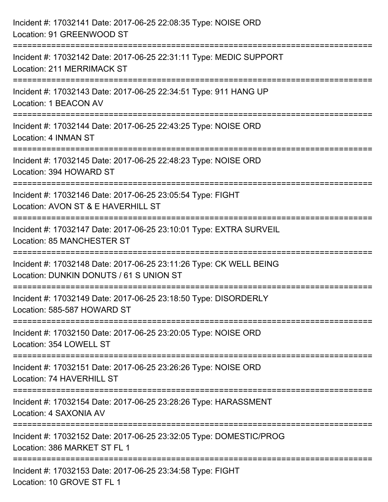| Incident #: 17032141 Date: 2017-06-25 22:08:35 Type: NOISE ORD<br>Location: 91 GREENWOOD ST                                                                       |
|-------------------------------------------------------------------------------------------------------------------------------------------------------------------|
| ======================================<br>Incident #: 17032142 Date: 2017-06-25 22:31:11 Type: MEDIC SUPPORT<br>Location: 211 MERRIMACK ST<br>------------------- |
| Incident #: 17032143 Date: 2017-06-25 22:34:51 Type: 911 HANG UP<br>Location: 1 BEACON AV                                                                         |
| Incident #: 17032144 Date: 2017-06-25 22:43:25 Type: NOISE ORD<br>Location: 4 INMAN ST<br>:===================================                                    |
| Incident #: 17032145 Date: 2017-06-25 22:48:23 Type: NOISE ORD<br>Location: 394 HOWARD ST                                                                         |
| Incident #: 17032146 Date: 2017-06-25 23:05:54 Type: FIGHT<br>Location: AVON ST & E HAVERHILL ST<br>;=======================                                      |
| Incident #: 17032147 Date: 2017-06-25 23:10:01 Type: EXTRA SURVEIL<br>Location: 85 MANCHESTER ST                                                                  |
| Incident #: 17032148 Date: 2017-06-25 23:11:26 Type: CK WELL BEING<br>Location: DUNKIN DONUTS / 61 S UNION ST                                                     |
| Incident #: 17032149 Date: 2017-06-25 23:18:50 Type: DISORDERLY<br>Location: 585-587 HOWARD ST                                                                    |
| Incident #: 17032150 Date: 2017-06-25 23:20:05 Type: NOISE ORD<br>Location: 354 LOWELL ST                                                                         |
| Incident #: 17032151 Date: 2017-06-25 23:26:26 Type: NOISE ORD<br>Location: 74 HAVERHILL ST                                                                       |
| Incident #: 17032154 Date: 2017-06-25 23:28:26 Type: HARASSMENT<br>Location: 4 SAXONIA AV                                                                         |
| Incident #: 17032152 Date: 2017-06-25 23:32:05 Type: DOMESTIC/PROG<br>Location: 386 MARKET ST FL 1                                                                |
| Incident #: 17032153 Date: 2017-06-25 23:34:58 Type: FIGHT<br>Location: 10 GROVE ST FL 1                                                                          |